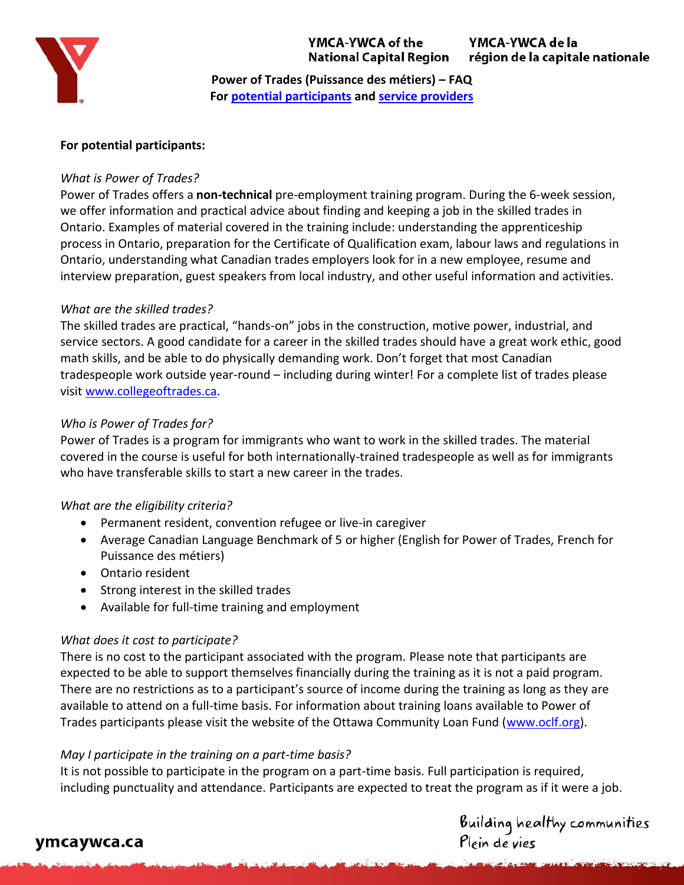

YMCA-YWCA of the **National Capital Region**  YMCA-YWCA de la région de la capitale nationale

**Power of Trades (Puissance des métiers) – FAQ For [potential participants](#page-0-0) and [service providers](#page-2-0)**

### <span id="page-0-0"></span>**For potential participants:**

### *What is Power of Trades?*

Power of Trades offers a **non-technical** pre-employment training program. During the 6-week session, we offer information and practical advice about finding and keeping a job in the skilled trades in Ontario. Examples of material covered in the training include: understanding the apprenticeship process in Ontario, preparation for the Certificate of Qualification exam, labour laws and regulations in Ontario, understanding what Canadian trades employers look for in a new employee, resume and interview preparation, guest speakers from local industry, and other useful information and activities.

### *What are the skilled trades?*

The skilled trades are practical, "hands-on" jobs in the construction, motive power, industrial, and service sectors. A good candidate for a career in the skilled trades should have a great work ethic, good math skills, and be able to do physically demanding work. Don't forget that most Canadian tradespeople work outside year-round – including during winter! For a complete list of trades please visit [www.collegeoftrades.ca.](http://www.collegeoftrades.ca/)

### *Who is Power of Trades for?*

Power of Trades is a program for immigrants who want to work in the skilled trades. The material covered in the course is useful for both internationally-trained tradespeople as well as for immigrants who have transferable skills to start a new career in the trades.

#### *What are the eligibility criteria?*

- Permanent resident, convention refugee or live-in caregiver
- Average Canadian Language Benchmark of 5 or higher (English for Power of Trades, French for Puissance des métiers)
- Ontario resident
- Strong interest in the skilled trades
- Available for full-time training and employment

### *What does it cost to participate?*

There is no cost to the participant associated with the program. Please note that participants are expected to be able to support themselves financially during the training as it is not a paid program. There are no restrictions as to a participant's source of income during the training as long as they are available to attend on a full-time basis. For information about training loans available to Power of Trades participants please visit the website of the Ottawa Community Loan Fund [\(www.oclf.org\)](http://www.oclf.org/).

### *May I participate in the training on a part-time basis?*

It is not possible to participate in the program on a part-time basis. Full participation is required, including punctuality and attendance. Participants are expected to treat the program as if it were a job.

Building healthy communities<br>Plein de vies

## ymcaywca.ca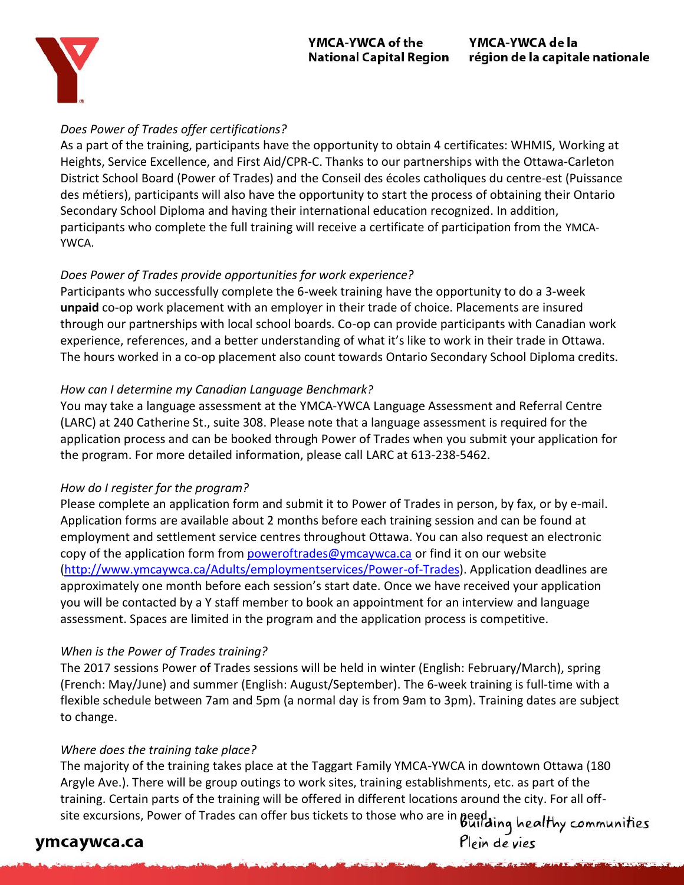### YMCA-YWCA of the **National Capital Region**



### *Does Power of Trades offer certifications?*

As a part of the training, participants have the opportunity to obtain 4 certificates: WHMIS, Working at Heights, Service Excellence, and First Aid/CPR-C. Thanks to our partnerships with the Ottawa-Carleton District School Board (Power of Trades) and the Conseil des écoles catholiques du centre-est (Puissance des métiers), participants will also have the opportunity to start the process of obtaining their Ontario Secondary School Diploma and having their international education recognized. In addition, participants who complete the full training will receive a certificate of participation from the YMCA-YWCA.

## *Does Power of Trades provide opportunities for work experience?*

Participants who successfully complete the 6-week training have the opportunity to do a 3-week **unpaid** co-op work placement with an employer in their trade of choice. Placements are insured through our partnerships with local school boards. Co-op can provide participants with Canadian work experience, references, and a better understanding of what it's like to work in their trade in Ottawa. The hours worked in a co-op placement also count towards Ontario Secondary School Diploma credits.

## *How can I determine my Canadian Language Benchmark?*

You may take a language assessment at the YMCA-YWCA Language Assessment and Referral Centre (LARC) at 240 Catherine St., suite 308. Please note that a language assessment is required for the application process and can be booked through Power of Trades when you submit your application for the program. For more detailed information, please call LARC at 613-238-5462.

## *How do I register for the program?*

Please complete an application form and submit it to Power of Trades in person, by fax, or by e-mail. Application forms are available about 2 months before each training session and can be found at employment and settlement service centres throughout Ottawa. You can also request an electronic copy of the application form from [poweroftrades@ymcaywca.ca](mailto:poweroftrades@ymcaywca.ca) or find it on our website [\(http://www.ymcaywca.ca/Adults/employmentservices/Power-of-Trades\)](http://www.ymcaywca.ca/Adults/employmentservices/Power-of-Trades). Application deadlines are approximately one month before each session's start date. Once we have received your application you will be contacted by a Y staff member to book an appointment for an interview and language assessment. Spaces are limited in the program and the application process is competitive.

## *When is the Power of Trades training?*

The 2017 sessions Power of Trades sessions will be held in winter (English: February/March), spring (French: May/June) and summer (English: August/September). The 6-week training is full-time with a flexible schedule between 7am and 5pm (a normal day is from 9am to 3pm). Training dates are subject to change.

## *Where does the training take place?*

The majority of the training takes place at the Taggart Family YMCA-YWCA in downtown Ottawa (180 Argyle Ave.). There will be group outings to work sites, training establishments, etc. as part of the training. Certain parts of the training will be offered in different locations around the city. For all offsite excursions, Power of Trades can offer bus tickets to those who are in **peed.** ing healthy communities

# ymcaywca.ca

Plein de vies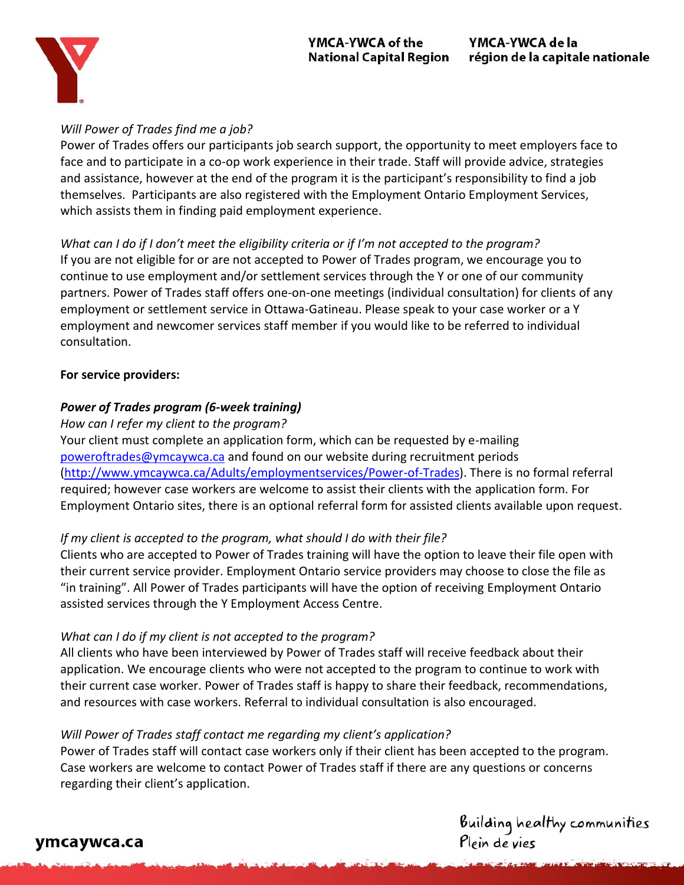

### *Will Power of Trades find me a job?*

Power of Trades offers our participants job search support, the opportunity to meet employers face to face and to participate in a co-op work experience in their trade. Staff will provide advice, strategies and assistance, however at the end of the program it is the participant's responsibility to find a job themselves. Participants are also registered with the Employment Ontario Employment Services, which assists them in finding paid employment experience.

*What can I do if I don't meet the eligibility criteria or if I'm not accepted to the program?*  If you are not eligible for or are not accepted to Power of Trades program, we encourage you to continue to use employment and/or settlement services through the Y or one of our community partners. Power of Trades staff offers one-on-one meetings (individual consultation) for clients of any employment or settlement service in Ottawa-Gatineau. Please speak to your case worker or a Y employment and newcomer services staff member if you would like to be referred to individual consultation.

### <span id="page-2-0"></span>**For service providers:**

## *Power of Trades program (6-week training)*

*How can I refer my client to the program?* 

Your client must complete an application form, which can be requested by e-mailing [poweroftrades@ymcaywca.ca](mailto:poweroftrades@ymcaywca.ca) and found on our website during recruitment periods [\(http://www.ymcaywca.ca/Adults/employmentservices/Power-of-Trades\)](http://www.ymcaywca.ca/Adults/employmentservices/Power-of-Trades). There is no formal referral required; however case workers are welcome to assist their clients with the application form. For Employment Ontario sites, there is an optional referral form for assisted clients available upon request.

## *If my client is accepted to the program, what should I do with their file?*

Clients who are accepted to Power of Trades training will have the option to leave their file open with their current service provider. Employment Ontario service providers may choose to close the file as "in training". All Power of Trades participants will have the option of receiving Employment Ontario assisted services through the Y Employment Access Centre.

### *What can I do if my client is not accepted to the program?*

All clients who have been interviewed by Power of Trades staff will receive feedback about their application. We encourage clients who were not accepted to the program to continue to work with their current case worker. Power of Trades staff is happy to share their feedback, recommendations, and resources with case workers. Referral to individual consultation is also encouraged.

## *Will Power of Trades staff contact me regarding my client's application?*

Power of Trades staff will contact case workers only if their client has been accepted to the program. Case workers are welcome to contact Power of Trades staff if there are any questions or concerns regarding their client's application.

Building healthy communities<br>Plein de vies

## ymcaywca.ca